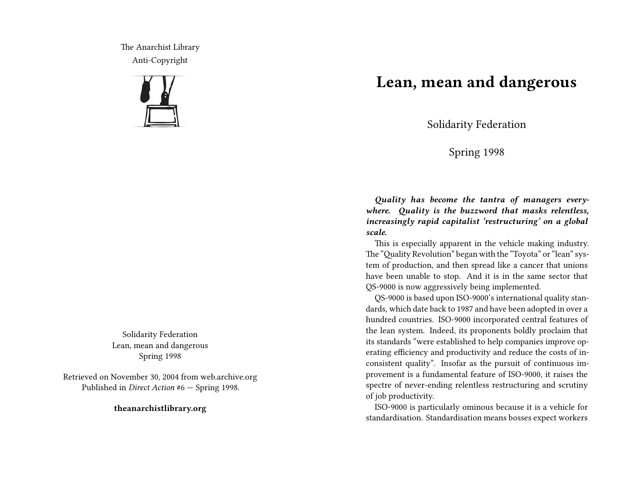The Anarchist Library Anti-Copyright



Solidarity Federation Lean, mean and dangerous Spring 1998

Retrieved on November 30, 2004 from web.archive.org Published in *Direct Action* #6 — Spring 1998.

**theanarchistlibrary.org**

## **Lean, mean and dangerous**

Solidarity Federation

Spring 1998

*Quality has become the tantra of managers everywhere. Quality is the buzzword that masks relentless, increasingly rapid capitalist 'restructuring' on a global scale.*

This is especially apparent in the vehicle making industry. The "Quality Revolution" began with the "Toyota" or "lean" system of production, and then spread like a cancer that unions have been unable to stop. And it is in the same sector that QS-9000 is now aggressively being implemented.

QS-9000 is based upon ISO-9000's international quality standards, which date back to 1987 and have been adopted in over a hundred countries. ISO-9000 incorporated central features of the lean system. Indeed, its proponents boldly proclaim that its standards "were established to help companies improve operating efficiency and productivity and reduce the costs of inconsistent quality". Insofar as the pursuit of continuous improvement is a fundamental feature of ISO-9000, it raises the spectre of never-ending relentless restructuring and scrutiny of job productivity.

ISO-9000 is particularly ominous because it is a vehicle for standardisation. Standardisation means bosses expect workers